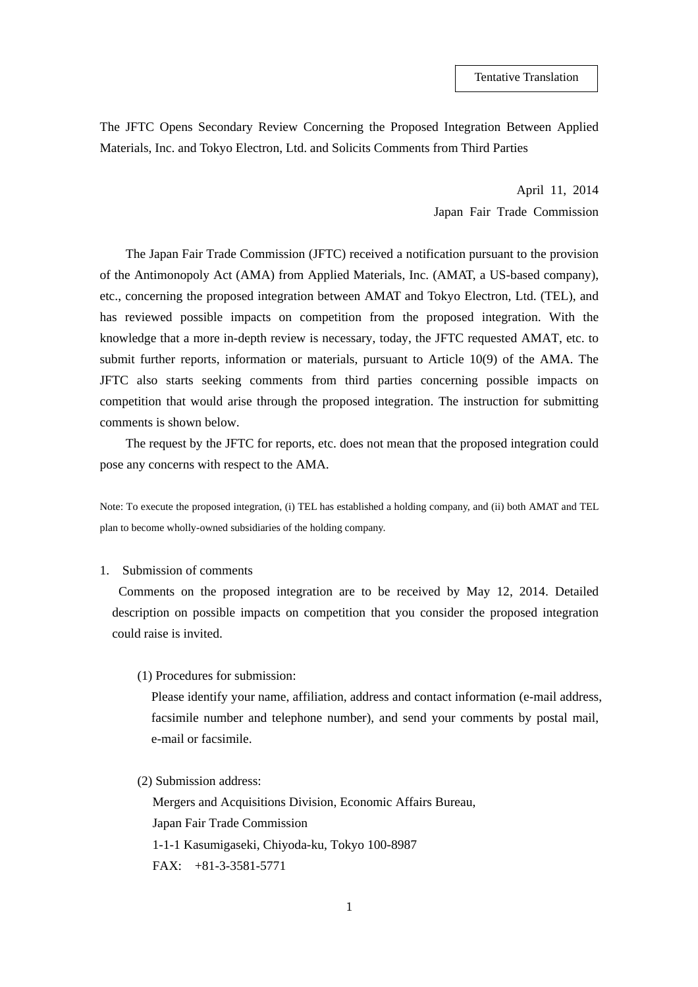The JFTC Opens Secondary Review Concerning the Proposed Integration Between Applied Materials, Inc. and Tokyo Electron, Ltd. and Solicits Comments from Third Parties

> April 11, 2014 Japan Fair Trade Commission

The Japan Fair Trade Commission (JFTC) received a notification pursuant to the provision of the Antimonopoly Act (AMA) from Applied Materials, Inc. (AMAT, a US-based company), etc., concerning the proposed integration between AMAT and Tokyo Electron, Ltd. (TEL), and has reviewed possible impacts on competition from the proposed integration. With the knowledge that a more in-depth review is necessary, today, the JFTC requested AMAT, etc. to submit further reports, information or materials, pursuant to Article 10(9) of the AMA. The JFTC also starts seeking comments from third parties concerning possible impacts on competition that would arise through the proposed integration. The instruction for submitting comments is shown below.

The request by the JFTC for reports, etc. does not mean that the proposed integration could pose any concerns with respect to the AMA.

Note: To execute the proposed integration, (i) TEL has established a holding company, and (ii) both AMAT and TEL plan to become wholly-owned subsidiaries of the holding company.

## 1. Submission of comments

Comments on the proposed integration are to be received by May 12, 2014. Detailed description on possible impacts on competition that you consider the proposed integration could raise is invited.

(1) Procedures for submission:

Please identify your name, affiliation, address and contact information (e-mail address, facsimile number and telephone number), and send your comments by postal mail, e-mail or facsimile.

(2) Submission address:

Mergers and Acquisitions Division, Economic Affairs Bureau, Japan Fair Trade Commission 1-1-1 Kasumigaseki, Chiyoda-ku, Tokyo 100-8987 FAX: +81-3-3581-5771